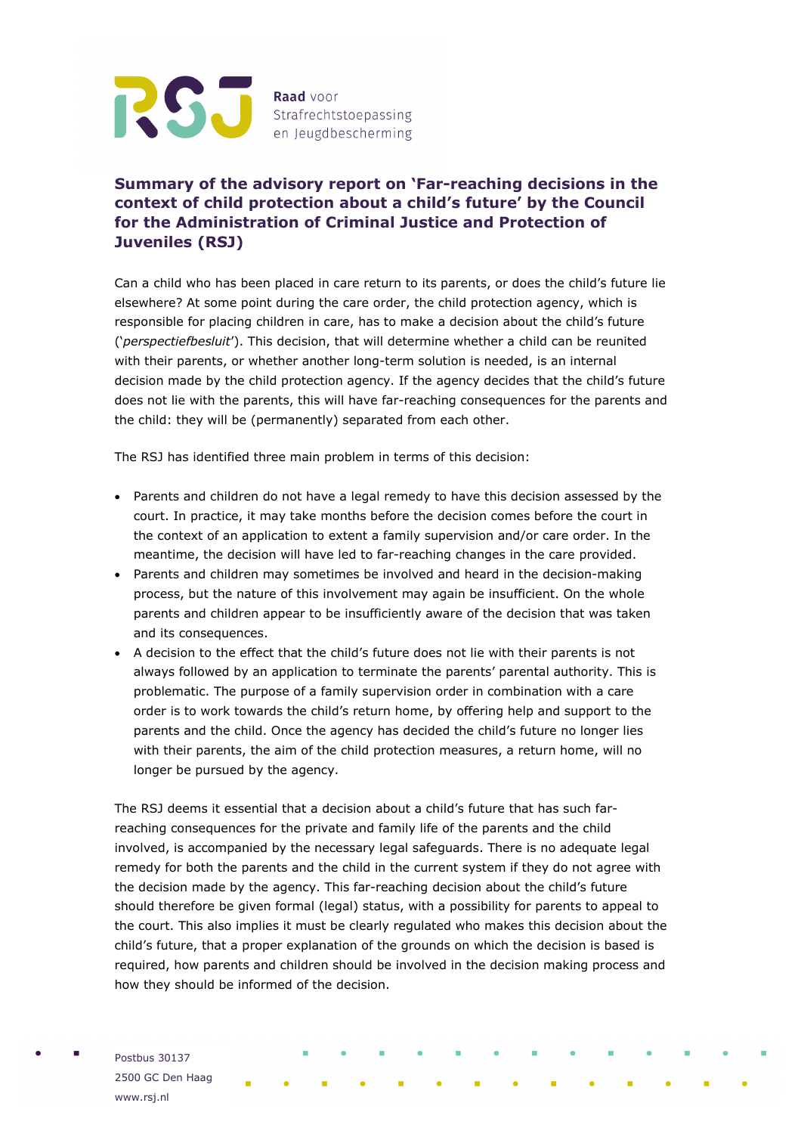

## **Summary of the advisory report on 'Far-reaching decisions in the context of child protection about a child's future' by the Council for the Administration of Criminal Justice and Protection of Juveniles (RSJ)**

Can a child who has been placed in care return to its parents, or does the child's future lie elsewhere? At some point during the care order, the child protection agency, which is responsible for placing children in care, has to make a decision about the child's future ('*perspectiefbesluit*'). This decision, that will determine whether a child can be reunited with their parents, or whether another long-term solution is needed, is an internal decision made by the child protection agency. If the agency decides that the child's future does not lie with the parents, this will have far-reaching consequences for the parents and the child: they will be (permanently) separated from each other.

The RSJ has identified three main problem in terms of this decision:

- Parents and children do not have a legal remedy to have this decision assessed by the court. In practice, it may take months before the decision comes before the court in the context of an application to extent a family supervision and/or care order. In the meantime, the decision will have led to far-reaching changes in the care provided.
- Parents and children may sometimes be involved and heard in the decision-making process, but the nature of this involvement may again be insufficient. On the whole parents and children appear to be insufficiently aware of the decision that was taken and its consequences.
- A decision to the effect that the child's future does not lie with their parents is not always followed by an application to terminate the parents' parental authority. This is problematic. The purpose of a family supervision order in combination with a care order is to work towards the child's return home, by offering help and support to the parents and the child. Once the agency has decided the child's future no longer lies with their parents, the aim of the child protection measures, a return home, will no longer be pursued by the agency.

The RSJ deems it essential that a decision about a child's future that has such farreaching consequences for the private and family life of the parents and the child involved, is accompanied by the necessary legal safeguards. There is no adequate legal remedy for both the parents and the child in the current system if they do not agree with the decision made by the agency. This far-reaching decision about the child's future should therefore be given formal (legal) status, with a possibility for parents to appeal to the court. This also implies it must be clearly regulated who makes this decision about the child's future, that a proper explanation of the grounds on which the decision is based is required, how parents and children should be involved in the decision making process and how they should be informed of the decision.

Postbus 30137 2500 GC Den Haag www.rsj.nl